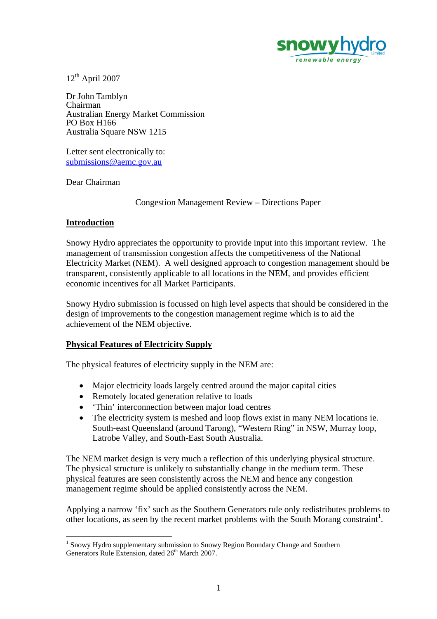

 $12<sup>th</sup>$  April 2007

Dr John Tamblyn Chairman Australian Energy Market Commission PO Box H166 Australia Square NSW 1215

Letter sent electronically to: submissions@aemc.gov.au

Dear Chairman

Congestion Management Review – Directions Paper

# **Introduction**

 $\overline{a}$ 

Snowy Hydro appreciates the opportunity to provide input into this important review. The management of transmission congestion affects the competitiveness of the National Electricity Market (NEM). A well designed approach to congestion management should be transparent, consistently applicable to all locations in the NEM, and provides efficient economic incentives for all Market Participants.

Snowy Hydro submission is focussed on high level aspects that should be considered in the design of improvements to the congestion management regime which is to aid the achievement of the NEM objective.

# **Physical Features of Electricity Supply**

The physical features of electricity supply in the NEM are:

- Major electricity loads largely centred around the major capital cities
- Remotely located generation relative to loads
- 'Thin' interconnection between major load centres
- The electricity system is meshed and loop flows exist in many NEM locations ie. South-east Queensland (around Tarong), "Western Ring" in NSW, Murray loop, Latrobe Valley, and South-East South Australia.

The NEM market design is very much a reflection of this underlying physical structure. The physical structure is unlikely to substantially change in the medium term. These physical features are seen consistently across the NEM and hence any congestion management regime should be applied consistently across the NEM.

Applying a narrow 'fix' such as the Southern Generators rule only redistributes problems to other locations, as seen by the recent market problems with the South Morang constraint<sup>1</sup>.

<sup>&</sup>lt;sup>1</sup> Snowy Hydro supplementary submission to Snowy Region Boundary Change and Southern Generators Rule Extension, dated 26<sup>th</sup> March 2007.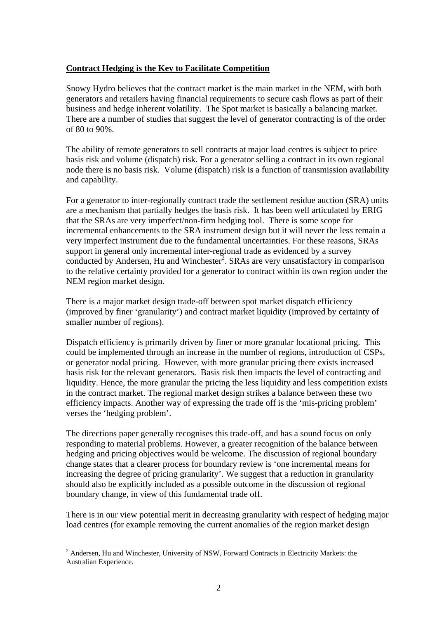#### **Contract Hedging is the Key to Facilitate Competition**

Snowy Hydro believes that the contract market is the main market in the NEM, with both generators and retailers having financial requirements to secure cash flows as part of their business and hedge inherent volatility. The Spot market is basically a balancing market. There are a number of studies that suggest the level of generator contracting is of the order of 80 to 90%.

The ability of remote generators to sell contracts at major load centres is subject to price basis risk and volume (dispatch) risk. For a generator selling a contract in its own regional node there is no basis risk. Volume (dispatch) risk is a function of transmission availability and capability.

For a generator to inter-regionally contract trade the settlement residue auction (SRA) units are a mechanism that partially hedges the basis risk. It has been well articulated by ERIG that the SRAs are very imperfect/non-firm hedging tool. There is some scope for incremental enhancements to the SRA instrument design but it will never the less remain a very imperfect instrument due to the fundamental uncertainties. For these reasons, SRAs support in general only incremental inter-regional trade as evidenced by a survey conducted by Andersen, Hu and Winchester<sup>2</sup>. SRAs are very unsatisfactory in comparison to the relative certainty provided for a generator to contract within its own region under the NEM region market design.

There is a major market design trade-off between spot market dispatch efficiency (improved by finer 'granularity') and contract market liquidity (improved by certainty of smaller number of regions).

Dispatch efficiency is primarily driven by finer or more granular locational pricing. This could be implemented through an increase in the number of regions, introduction of CSPs, or generator nodal pricing. However, with more granular pricing there exists increased basis risk for the relevant generators. Basis risk then impacts the level of contracting and liquidity. Hence, the more granular the pricing the less liquidity and less competition exists in the contract market. The regional market design strikes a balance between these two efficiency impacts. Another way of expressing the trade off is the 'mis-pricing problem' verses the 'hedging problem'.

The directions paper generally recognises this trade-off, and has a sound focus on only responding to material problems. However, a greater recognition of the balance between hedging and pricing objectives would be welcome. The discussion of regional boundary change states that a clearer process for boundary review is 'one incremental means for increasing the degree of pricing granularity'. We suggest that a reduction in granularity should also be explicitly included as a possible outcome in the discussion of regional boundary change, in view of this fundamental trade off.

There is in our view potential merit in decreasing granularity with respect of hedging major load centres (for example removing the current anomalies of the region market design

 $\overline{a}$  $2^2$  Andersen, Hu and Winchester, University of NSW, Forward Contracts in Electricity Markets: the Australian Experience.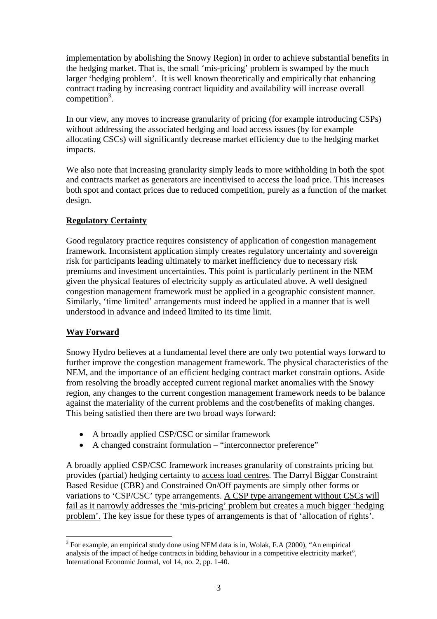implementation by abolishing the Snowy Region) in order to achieve substantial benefits in the hedging market. That is, the small 'mis-pricing' problem is swamped by the much larger 'hedging problem'. It is well known theoretically and empirically that enhancing contract trading by increasing contract liquidity and availability will increase overall competition<sup>3</sup>.

In our view, any moves to increase granularity of pricing (for example introducing CSPs) without addressing the associated hedging and load access issues (by for example allocating CSCs) will significantly decrease market efficiency due to the hedging market impacts.

We also note that increasing granularity simply leads to more withholding in both the spot and contracts market as generators are incentivised to access the load price. This increases both spot and contact prices due to reduced competition, purely as a function of the market design.

# **Regulatory Certainty**

Good regulatory practice requires consistency of application of congestion management framework. Inconsistent application simply creates regulatory uncertainty and sovereign risk for participants leading ultimately to market inefficiency due to necessary risk premiums and investment uncertainties. This point is particularly pertinent in the NEM given the physical features of electricity supply as articulated above. A well designed congestion management framework must be applied in a geographic consistent manner. Similarly, 'time limited' arrangements must indeed be applied in a manner that is well understood in advance and indeed limited to its time limit.

# **Way Forward**

Snowy Hydro believes at a fundamental level there are only two potential ways forward to further improve the congestion management framework. The physical characteristics of the NEM, and the importance of an efficient hedging contract market constrain options. Aside from resolving the broadly accepted current regional market anomalies with the Snowy region, any changes to the current congestion management framework needs to be balance against the materiality of the current problems and the cost/benefits of making changes. This being satisfied then there are two broad ways forward:

- A broadly applied CSP/CSC or similar framework
- A changed constraint formulation "interconnector preference"

A broadly applied CSP/CSC framework increases granularity of constraints pricing but provides (partial) hedging certainty to access load centres. The Darryl Biggar Constraint Based Residue (CBR) and Constrained On/Off payments are simply other forms or variations to 'CSP/CSC' type arrangements. A CSP type arrangement without CSCs will fail as it narrowly addresses the 'mis-pricing' problem but creates a much bigger 'hedging problem'. The key issue for these types of arrangements is that of 'allocation of rights'.

 $\overline{a}$  $3$  For example, an empirical study done using NEM data is in, Wolak, F.A (2000), "An empirical analysis of the impact of hedge contracts in bidding behaviour in a competitive electricity market", International Economic Journal, vol 14, no. 2, pp. 1-40.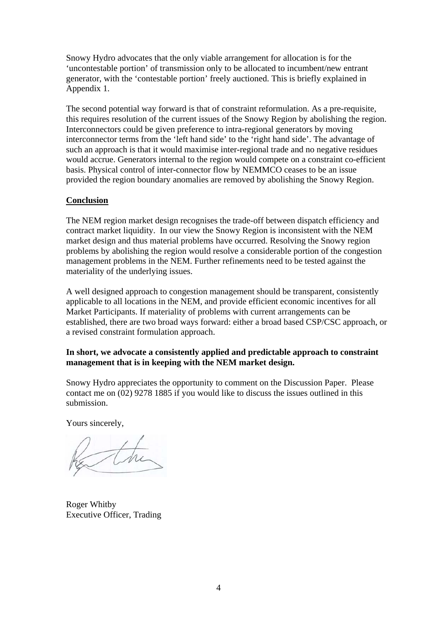Snowy Hydro advocates that the only viable arrangement for allocation is for the 'uncontestable portion' of transmission only to be allocated to incumbent/new entrant generator, with the 'contestable portion' freely auctioned. This is briefly explained in Appendix 1.

The second potential way forward is that of constraint reformulation. As a pre-requisite, this requires resolution of the current issues of the Snowy Region by abolishing the region. Interconnectors could be given preference to intra-regional generators by moving interconnector terms from the 'left hand side' to the 'right hand side'. The advantage of such an approach is that it would maximise inter-regional trade and no negative residues would accrue. Generators internal to the region would compete on a constraint co-efficient basis. Physical control of inter-connector flow by NEMMCO ceases to be an issue provided the region boundary anomalies are removed by abolishing the Snowy Region.

#### **Conclusion**

The NEM region market design recognises the trade-off between dispatch efficiency and contract market liquidity. In our view the Snowy Region is inconsistent with the NEM market design and thus material problems have occurred. Resolving the Snowy region problems by abolishing the region would resolve a considerable portion of the congestion management problems in the NEM. Further refinements need to be tested against the materiality of the underlying issues.

A well designed approach to congestion management should be transparent, consistently applicable to all locations in the NEM, and provide efficient economic incentives for all Market Participants. If materiality of problems with current arrangements can be established, there are two broad ways forward: either a broad based CSP/CSC approach, or a revised constraint formulation approach.

#### **In short, we advocate a consistently applied and predictable approach to constraint management that is in keeping with the NEM market design.**

Snowy Hydro appreciates the opportunity to comment on the Discussion Paper. Please contact me on (02) 9278 1885 if you would like to discuss the issues outlined in this submission.

Yours sincerely,

Roger Whitby Executive Officer, Trading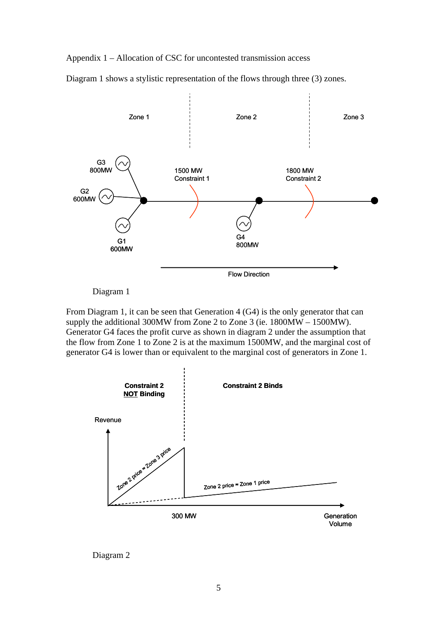Appendix 1 – Allocation of CSC for uncontested transmission access

Diagram 1 shows a stylistic representation of the flows through three (3) zones.



Diagram 1

From Diagram 1, it can be seen that Generation 4 (G4) is the only generator that can supply the additional 300MW from Zone 2 to Zone 3 (ie. 1800MW – 1500MW). Generator G4 faces the profit curve as shown in diagram 2 under the assumption that the flow from Zone 1 to Zone 2 is at the maximum 1500MW, and the marginal cost of generator G4 is lower than or equivalent to the marginal cost of generators in Zone 1.



Diagram 2